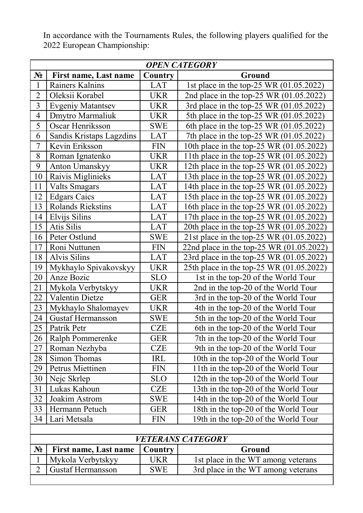| <b>OPEN CATEGORY</b>     |                              |            |                                          |  |  |
|--------------------------|------------------------------|------------|------------------------------------------|--|--|
| $N_2$                    | <b>First name, Last name</b> | Country    | Ground                                   |  |  |
| $\mathbf{1}$             | Rainers Kalnins              | <b>LAT</b> | 1st place in the top-25 WR (01.05.2022)  |  |  |
| $\overline{2}$           | Oleksii Korabel              | <b>UKR</b> | 2nd place in the top-25 WR (01.05.2022)  |  |  |
| 3                        | <b>Evgeniy Matantsev</b>     | <b>UKR</b> | 3rd place in the top-25 WR (01.05.2022)  |  |  |
| $\overline{4}$           | Dmytro Marmaliuk             | <b>UKR</b> | 5th place in the top-25 WR (01.05.2022)  |  |  |
| 5                        | Oscar Henriksson             | <b>SWE</b> | 6th place in the top-25 WR (01.05.2022)  |  |  |
| 6                        | Sandis Kristaps Lagzdins     | <b>LAT</b> | 7th place in the top-25 WR (01.05.2022)  |  |  |
| 7                        | Kevin Eriksson               | <b>FIN</b> | 10th place in the top-25 WR (01.05.2022) |  |  |
| 8                        | Roman Ignatenko              | <b>UKR</b> | 11th place in the top-25 WR (01.05.2022) |  |  |
| 9                        | Anton Umanskyy               | <b>UKR</b> | 12th place in the top-25 WR (01.05.2022) |  |  |
| 10                       | Raivis Miglinieks            | <b>LAT</b> | 13th place in the top-25 WR (01.05.2022) |  |  |
| 11                       | <b>Valts Smagars</b>         | LAT        | 14th place in the top-25 WR (01.05.2022) |  |  |
| 12                       | <b>Edgars Caics</b>          | <b>LAT</b> | 15th place in the top-25 WR (01.05.2022) |  |  |
| 13                       | Rolands Riekstins            | <b>LAT</b> | 16th place in the top-25 WR (01.05.2022) |  |  |
| 14                       | Elvijs Silins                | <b>LAT</b> | 17th place in the top-25 WR (01.05.2022) |  |  |
| 15                       | Atis Silis                   | <b>LAT</b> | 20th place in the top-25 WR (01.05.2022) |  |  |
| 16                       | Peter Ostlund                | <b>SWE</b> | 21st place in the top-25 WR (01.05.2022) |  |  |
| 17                       | Roni Nuttunen                | <b>FIN</b> | 22nd place in the top-25 WR (01.05.2022) |  |  |
| 18                       | Alvis Silins                 | <b>LAT</b> | 23rd place in the top-25 WR (01.05.2022) |  |  |
| 19                       | Mykhaylo Spivakovskyy        | <b>UKR</b> | 25th place in the top-25 WR (01.05.2022) |  |  |
| 20                       | Anze Bozic                   | <b>SLO</b> | 1st in the top-20 of the World Tour      |  |  |
| 21                       | Mykola Verbytskyy            | <b>UKR</b> | 2nd in the top-20 of the World Tour      |  |  |
| 22                       | Valentin Dietze              | <b>GER</b> | 3rd in the top-20 of the World Tour      |  |  |
| 23                       | Mykhaylo Shalomayev          | <b>UKR</b> | 4th in the top-20 of the World Tour      |  |  |
| 24                       | <b>Gustaf Hermansson</b>     | <b>SWE</b> | 5th in the top-20 of the World Tour      |  |  |
| 25                       | Patrik Petr                  | <b>CZE</b> | 6th in the top-20 of the World Tour      |  |  |
| 26                       | Ralph Pommerenke             | <b>GER</b> | 7th in the top-20 of the World Tour      |  |  |
| 27                       | Roman Nezhyba                | <b>CZE</b> | 9th in the top-20 of the World Tour      |  |  |
| 28                       | Simon Thomas                 | IRL        | 10th in the top-20 of the World Tour     |  |  |
| 29                       | Petrus Miettinen             | <b>FIN</b> | 11th in the top-20 of the World Tour     |  |  |
| 30                       | Nejc Skrlep                  | <b>SLO</b> | 12th in the top-20 of the World Tour     |  |  |
| 31                       | Lukas Kahoun                 | <b>CZE</b> | 13th in the top-20 of the World Tour     |  |  |
| 32                       | Joakim Astrom                | <b>SWE</b> | 14th in the top-20 of the World Tour     |  |  |
| 33                       | Hermann Petuch               | <b>GER</b> | 18th in the top-20 of the World Tour     |  |  |
| 34                       | Lari Metsala                 | <b>FIN</b> | 19th in the top-20 of the World Tour     |  |  |
|                          |                              |            |                                          |  |  |
| <i>VETERANS CATEGORY</i> |                              |            |                                          |  |  |

In accordance with the Tournaments Rules, the following players qualified for the 2022 European Championship:

| <b>VETERANS CATEGORY</b> |                       |            |                                    |  |  |  |
|--------------------------|-----------------------|------------|------------------------------------|--|--|--|
| $N_2$                    | First name, Last name | Country    | Ground                             |  |  |  |
|                          | Mykola Verbytskyy     | UKR        | 1st place in the WT among veterans |  |  |  |
|                          | Gustaf Hermansson     | <b>SWE</b> | 3rd place in the WT among veterans |  |  |  |